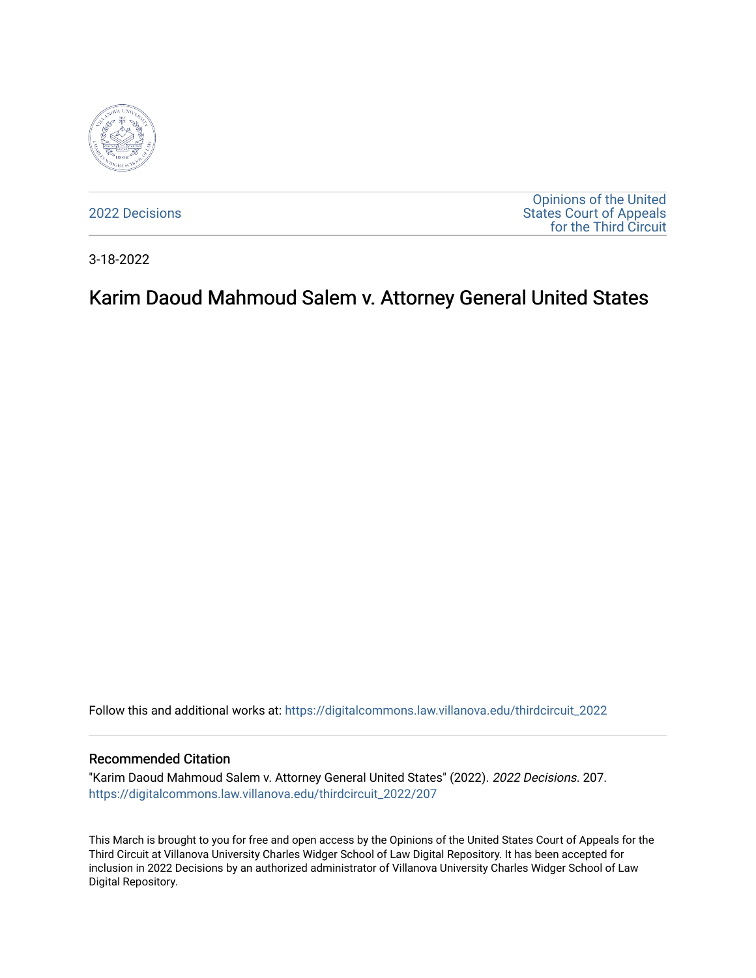

[2022 Decisions](https://digitalcommons.law.villanova.edu/thirdcircuit_2022)

[Opinions of the United](https://digitalcommons.law.villanova.edu/thirdcircuit)  [States Court of Appeals](https://digitalcommons.law.villanova.edu/thirdcircuit)  [for the Third Circuit](https://digitalcommons.law.villanova.edu/thirdcircuit) 

3-18-2022

## Karim Daoud Mahmoud Salem v. Attorney General United States

Follow this and additional works at: [https://digitalcommons.law.villanova.edu/thirdcircuit\\_2022](https://digitalcommons.law.villanova.edu/thirdcircuit_2022?utm_source=digitalcommons.law.villanova.edu%2Fthirdcircuit_2022%2F207&utm_medium=PDF&utm_campaign=PDFCoverPages) 

#### Recommended Citation

"Karim Daoud Mahmoud Salem v. Attorney General United States" (2022). 2022 Decisions. 207. [https://digitalcommons.law.villanova.edu/thirdcircuit\\_2022/207](https://digitalcommons.law.villanova.edu/thirdcircuit_2022/207?utm_source=digitalcommons.law.villanova.edu%2Fthirdcircuit_2022%2F207&utm_medium=PDF&utm_campaign=PDFCoverPages)

This March is brought to you for free and open access by the Opinions of the United States Court of Appeals for the Third Circuit at Villanova University Charles Widger School of Law Digital Repository. It has been accepted for inclusion in 2022 Decisions by an authorized administrator of Villanova University Charles Widger School of Law Digital Repository.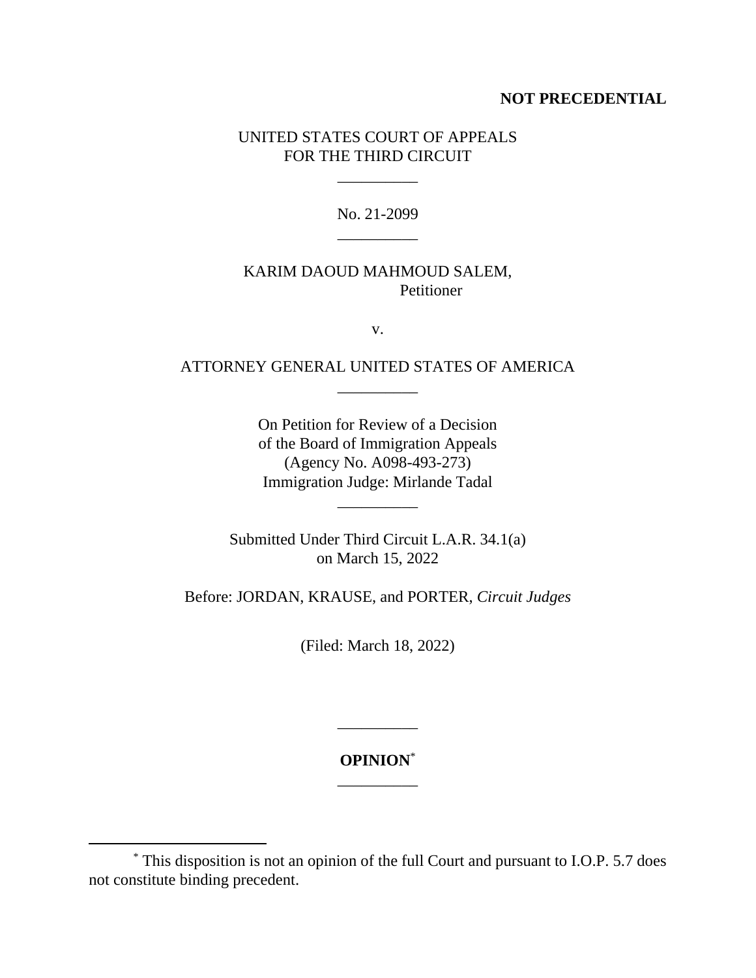#### **NOT PRECEDENTIAL**

### UNITED STATES COURT OF APPEALS FOR THE THIRD CIRCUIT

\_\_\_\_\_\_\_\_\_\_

No. 21-2099 \_\_\_\_\_\_\_\_\_\_

#### KARIM DAOUD MAHMOUD SALEM, Petitioner

v.

## ATTORNEY GENERAL UNITED STATES OF AMERICA \_\_\_\_\_\_\_\_\_\_

On Petition for Review of a Decision of the Board of Immigration Appeals (Agency No. A098-493-273) Immigration Judge: Mirlande Tadal

\_\_\_\_\_\_\_\_\_\_

Submitted Under Third Circuit L.A.R. 34.1(a) on March 15, 2022

Before: JORDAN, KRAUSE, and PORTER, *Circuit Judges*

(Filed: March 18, 2022)

**OPINION**\* \_\_\_\_\_\_\_\_\_\_

\_\_\_\_\_\_\_\_\_\_

<sup>\*</sup> This disposition is not an opinion of the full Court and pursuant to I.O.P. 5.7 does not constitute binding precedent.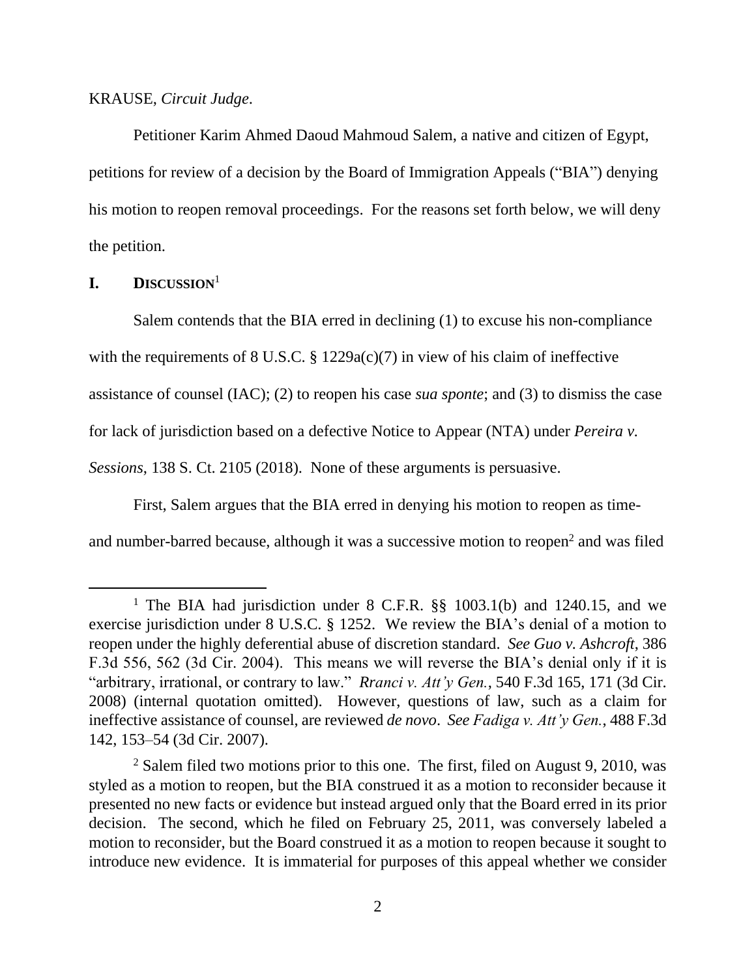#### KRAUSE, *Circuit Judge*.

Petitioner Karim Ahmed Daoud Mahmoud Salem, a native and citizen of Egypt, petitions for review of a decision by the Board of Immigration Appeals ("BIA") denying his motion to reopen removal proceedings. For the reasons set forth below, we will deny the petition.

#### **I. DISCUSSION**<sup>1</sup>

Salem contends that the BIA erred in declining (1) to excuse his non-compliance with the requirements of 8 U.S.C. § 1229a(c)(7) in view of his claim of ineffective assistance of counsel (IAC); (2) to reopen his case *sua sponte*; and (3) to dismiss the case for lack of jurisdiction based on a defective Notice to Appear (NTA) under *Pereira v. Sessions*, 138 S. Ct. 2105 (2018). None of these arguments is persuasive.

First, Salem argues that the BIA erred in denying his motion to reopen as time-

and number-barred because, although it was a successive motion to reopen<sup>2</sup> and was filed

<sup>&</sup>lt;sup>1</sup> The BIA had jurisdiction under 8 C.F.R.  $\S$ § 1003.1(b) and 1240.15, and we exercise jurisdiction under 8 U.S.C. § 1252. We review the BIA's denial of a motion to reopen under the highly deferential abuse of discretion standard. *See Guo v. Ashcroft*, 386 F.3d 556, 562 (3d Cir. 2004). This means we will reverse the BIA's denial only if it is "arbitrary, irrational, or contrary to law." *Rranci v. Att'y Gen.*, 540 F.3d 165, 171 (3d Cir. 2008) (internal quotation omitted). However, questions of law, such as a claim for ineffective assistance of counsel, are reviewed *de novo*. *See Fadiga v. Att'y Gen.*, 488 F.3d 142, 153–54 (3d Cir. 2007).

<sup>&</sup>lt;sup>2</sup> Salem filed two motions prior to this one. The first, filed on August 9, 2010, was styled as a motion to reopen, but the BIA construed it as a motion to reconsider because it presented no new facts or evidence but instead argued only that the Board erred in its prior decision. The second, which he filed on February 25, 2011, was conversely labeled a motion to reconsider, but the Board construed it as a motion to reopen because it sought to introduce new evidence. It is immaterial for purposes of this appeal whether we consider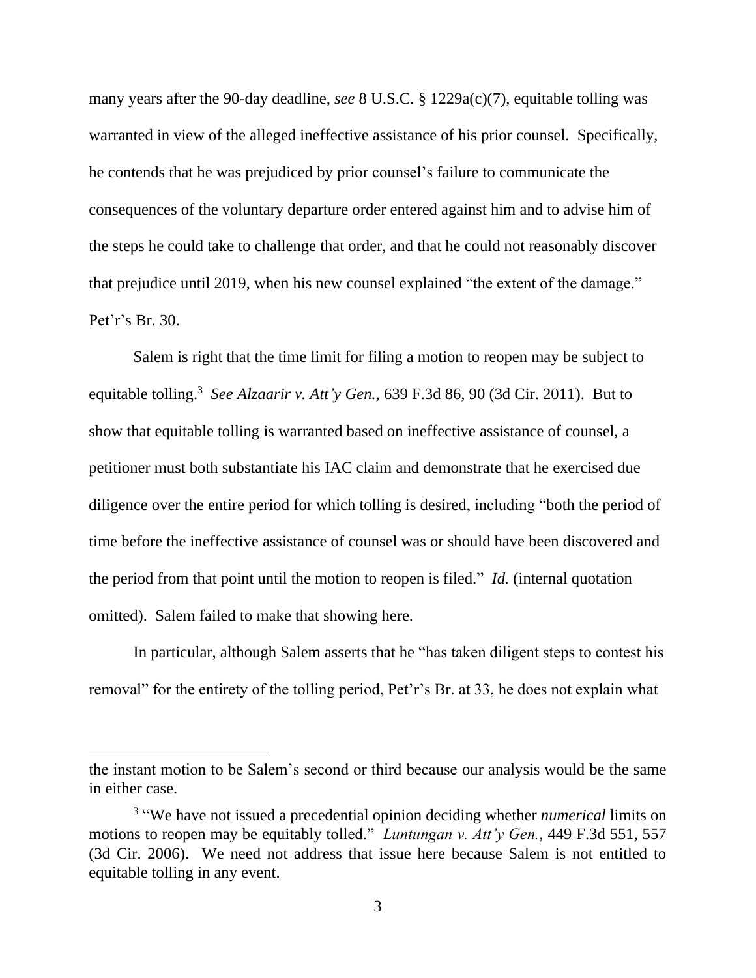many years after the 90-day deadline, *see* 8 U.S.C. § 1229a(c)(7), equitable tolling was warranted in view of the alleged ineffective assistance of his prior counsel. Specifically, he contends that he was prejudiced by prior counsel's failure to communicate the consequences of the voluntary departure order entered against him and to advise him of the steps he could take to challenge that order, and that he could not reasonably discover that prejudice until 2019, when his new counsel explained "the extent of the damage." Pet'r's Br. 30.

Salem is right that the time limit for filing a motion to reopen may be subject to equitable tolling.<sup>3</sup> See Alzaarir v. Att'y Gen., 639 F.3d 86, 90 (3d Cir. 2011). But to show that equitable tolling is warranted based on ineffective assistance of counsel, a petitioner must both substantiate his IAC claim and demonstrate that he exercised due diligence over the entire period for which tolling is desired, including "both the period of time before the ineffective assistance of counsel was or should have been discovered and the period from that point until the motion to reopen is filed." *Id.* (internal quotation omitted). Salem failed to make that showing here.

In particular, although Salem asserts that he "has taken diligent steps to contest his removal" for the entirety of the tolling period, Pet'r's Br. at 33, he does not explain what

the instant motion to be Salem's second or third because our analysis would be the same in either case.

<sup>3</sup> "We have not issued a precedential opinion deciding whether *numerical* limits on motions to reopen may be equitably tolled." *Luntungan v. Att'y Gen.*, 449 F.3d 551, 557 (3d Cir. 2006). We need not address that issue here because Salem is not entitled to equitable tolling in any event.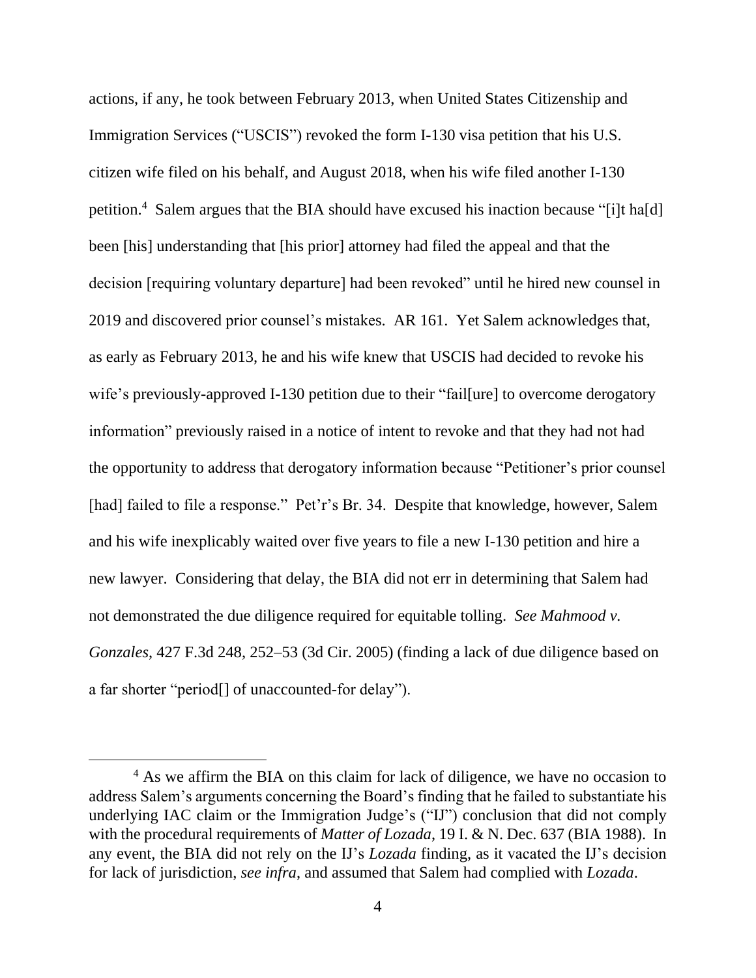actions, if any, he took between February 2013, when United States Citizenship and Immigration Services ("USCIS") revoked the form I-130 visa petition that his U.S. citizen wife filed on his behalf, and August 2018, when his wife filed another I-130 petition. 4 Salem argues that the BIA should have excused his inaction because "[i]t ha[d] been [his] understanding that [his prior] attorney had filed the appeal and that the decision [requiring voluntary departure] had been revoked" until he hired new counsel in 2019 and discovered prior counsel's mistakes. AR 161. Yet Salem acknowledges that, as early as February 2013, he and his wife knew that USCIS had decided to revoke his wife's previously-approved I-130 petition due to their "failfure] to overcome derogatory information" previously raised in a notice of intent to revoke and that they had not had the opportunity to address that derogatory information because "Petitioner's prior counsel [had] failed to file a response." Pet'r's Br. 34. Despite that knowledge, however, Salem and his wife inexplicably waited over five years to file a new I-130 petition and hire a new lawyer. Considering that delay, the BIA did not err in determining that Salem had not demonstrated the due diligence required for equitable tolling. *See Mahmood v. Gonzales*, 427 F.3d 248, 252–53 (3d Cir. 2005) (finding a lack of due diligence based on a far shorter "period[] of unaccounted-for delay").

<sup>&</sup>lt;sup>4</sup> As we affirm the BIA on this claim for lack of diligence, we have no occasion to address Salem's arguments concerning the Board's finding that he failed to substantiate his underlying IAC claim or the Immigration Judge's ("IJ") conclusion that did not comply with the procedural requirements of *Matter of Lozada*, 19 I. & N. Dec. 637 (BIA 1988). In any event, the BIA did not rely on the IJ's *Lozada* finding, as it vacated the IJ's decision for lack of jurisdiction, *see infra*, and assumed that Salem had complied with *Lozada*.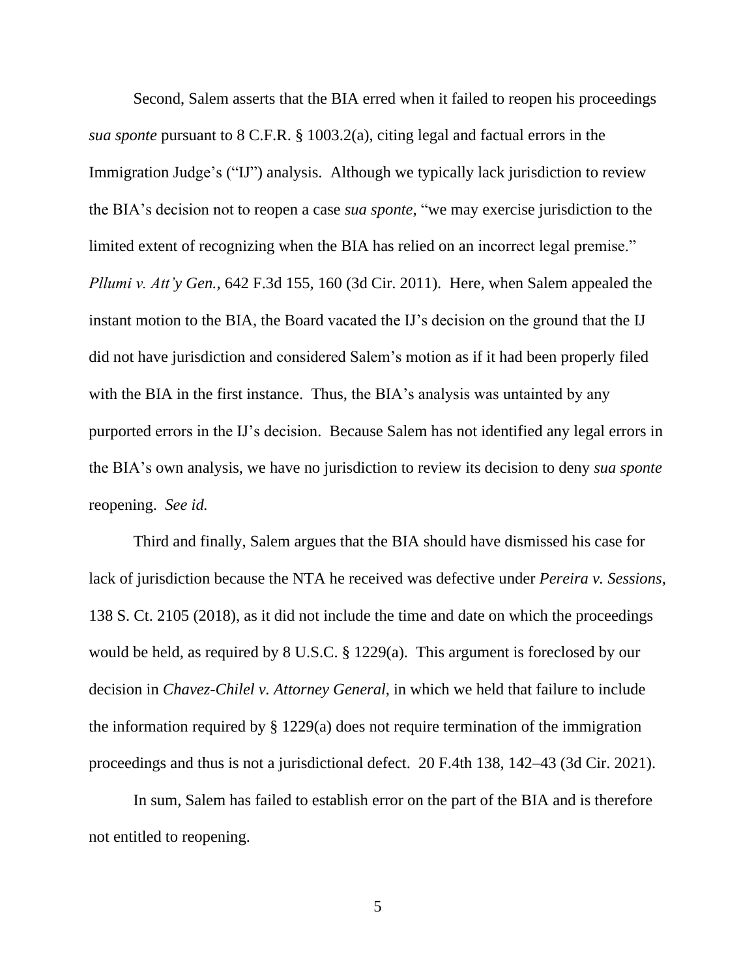Second, Salem asserts that the BIA erred when it failed to reopen his proceedings *sua sponte* pursuant to 8 C.F.R. § 1003.2(a), citing legal and factual errors in the Immigration Judge's ("IJ") analysis. Although we typically lack jurisdiction to review the BIA's decision not to reopen a case *sua sponte*, "we may exercise jurisdiction to the limited extent of recognizing when the BIA has relied on an incorrect legal premise." *Pllumi v. Att'y Gen.*, 642 F.3d 155, 160 (3d Cir. 2011). Here, when Salem appealed the instant motion to the BIA, the Board vacated the IJ's decision on the ground that the IJ did not have jurisdiction and considered Salem's motion as if it had been properly filed with the BIA in the first instance. Thus, the BIA's analysis was untainted by any purported errors in the IJ's decision. Because Salem has not identified any legal errors in the BIA's own analysis, we have no jurisdiction to review its decision to deny *sua sponte* reopening. *See id.*

Third and finally, Salem argues that the BIA should have dismissed his case for lack of jurisdiction because the NTA he received was defective under *Pereira v. Sessions*, 138 S. Ct. 2105 (2018), as it did not include the time and date on which the proceedings would be held, as required by 8 U.S.C. § 1229(a). This argument is foreclosed by our decision in *Chavez-Chilel v. Attorney General*, in which we held that failure to include the information required by § 1229(a) does not require termination of the immigration proceedings and thus is not a jurisdictional defect. 20 F.4th 138, 142–43 (3d Cir. 2021).

In sum, Salem has failed to establish error on the part of the BIA and is therefore not entitled to reopening.

5